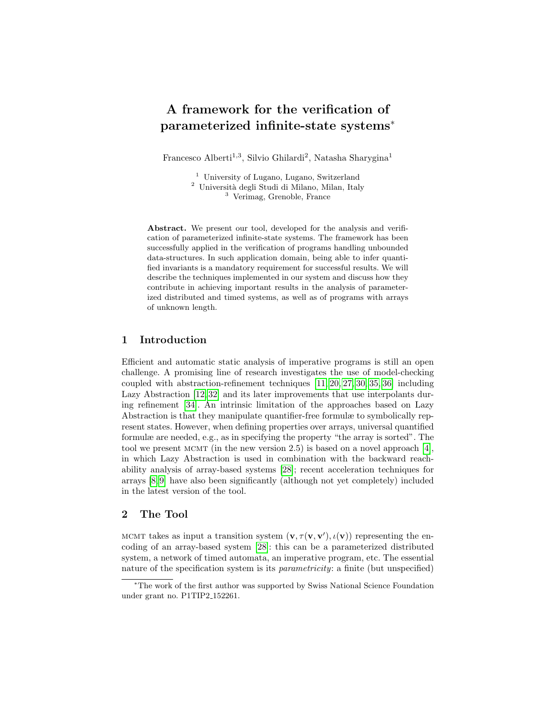# A framework for the verification of parameterized infinite-state systems<sup>∗</sup>

Francesco Alberti<sup>1,3</sup>, Silvio Ghilardi<sup>2</sup>, Natasha Sharygina<sup>1</sup>

<sup>1</sup> University of Lugano, Lugano, Switzerland <sup>2</sup> Università degli Studi di Milano, Milan, Italy <sup>3</sup> Verimag, Grenoble, France

Abstract. We present our tool, developed for the analysis and verification of parameterized infinite-state systems. The framework has been successfully applied in the verification of programs handling unbounded data-structures. In such application domain, being able to infer quantified invariants is a mandatory requirement for successful results. We will describe the techniques implemented in our system and discuss how they contribute in achieving important results in the analysis of parameterized distributed and timed systems, as well as of programs with arrays of unknown length.

# 1 Introduction

Efficient and automatic static analysis of imperative programs is still an open challenge. A promising line of research investigates the use of model-checking coupled with abstraction-refinement techniques [\[11,](#page-3-0) [20,](#page-4-0) [27,](#page-4-1) [30,](#page-4-2) [35,](#page-4-3) [36\]](#page-4-4) including Lazy Abstraction [\[12,](#page-3-1) [32\]](#page-4-5) and its later improvements that use interpolants during refinement [\[34\]](#page-4-6). An intrinsic limitation of the approaches based on Lazy Abstraction is that they manipulate quantifier-free formulæ to symbolically represent states. However, when defining properties over arrays, universal quantified formulæ are needed, e.g., as in specifying the property "the array is sorted". The tool we present MCMT (in the new version 2.5) is based on a novel approach [\[4\]](#page-3-2), in which Lazy Abstraction is used in combination with the backward reachability analysis of array-based systems [\[28\]](#page-4-7); recent acceleration techniques for arrays [\[8,](#page-3-3) [9\]](#page-3-4) have also been significantly (although not yet completely) included in the latest version of the tool.

# 2 The Tool

MCMT takes as input a transition system  $(\mathbf{v}, \tau(\mathbf{v}, \mathbf{v}'), \iota(\mathbf{v}))$  representing the encoding of an array-based system [\[28\]](#page-4-7): this can be a parameterized distributed system, a network of timed automata, an imperative program, etc. The essential nature of the specification system is its *parametricity*: a finite (but unspecified)

<sup>∗</sup>The work of the first author was supported by Swiss National Science Foundation under grant no. P1TIP2 152261.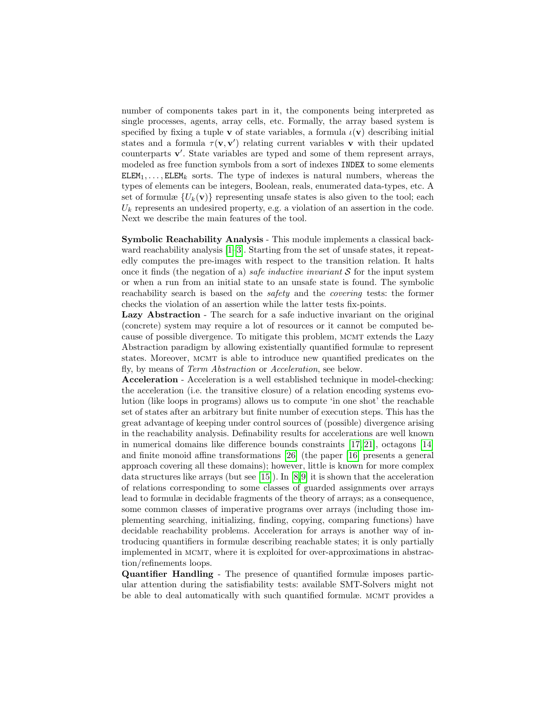number of components takes part in it, the components being interpreted as single processes, agents, array cells, etc. Formally, the array based system is specified by fixing a tuple v of state variables, a formula  $\iota(\mathbf{v})$  describing initial states and a formula  $\tau(\mathbf{v}, \mathbf{v}')$  relating current variables **v** with their updated counterparts v'. State variables are typed and some of them represent arrays, modeled as free function symbols from a sort of indexes INDEX to some elements  $ELEM_1, \ldots, ELEM_k$  sorts. The type of indexes is natural numbers, whereas the types of elements can be integers, Boolean, reals, enumerated data-types, etc. A set of formulæ  $\{U_k(\mathbf{v})\}$  representing unsafe states is also given to the tool; each  $U_k$  represents an undesired property, e.g. a violation of an assertion in the code. Next we describe the main features of the tool.

Symbolic Reachability Analysis - This module implements a classical backward reachability analysis [\[1](#page-3-5)[–3\]](#page-3-6). Starting from the set of unsafe states, it repeatedly computes the pre-images with respect to the transition relation. It halts once it finds (the negation of a) *safe inductive invariant*  $S$  for the input system or when a run from an initial state to an unsafe state is found. The symbolic reachability search is based on the safety and the covering tests: the former checks the violation of an assertion while the latter tests fix-points.

Lazy Abstraction - The search for a safe inductive invariant on the original (concrete) system may require a lot of resources or it cannot be computed because of possible divergence. To mitigate this problem, MCMT extends the Lazy Abstraction paradigm by allowing existentially quantified formulæ to represent states. Moreover, mcmt is able to introduce new quantified predicates on the fly, by means of Term Abstraction or Acceleration, see below.

Acceleration - Acceleration is a well established technique in model-checking: the acceleration (i.e. the transitive closure) of a relation encoding systems evolution (like loops in programs) allows us to compute 'in one shot' the reachable set of states after an arbitrary but finite number of execution steps. This has the great advantage of keeping under control sources of (possible) divergence arising in the reachability analysis. Definability results for accelerations are well known in numerical domains like difference bounds constraints [\[17,](#page-4-8) [21\]](#page-4-9), octagons [\[14\]](#page-4-10) and finite monoid affine transformations [\[26\]](#page-4-11) (the paper [\[16\]](#page-4-12) presents a general approach covering all these domains); however, little is known for more complex data structures like arrays (but see [\[15\]](#page-4-13)). In [\[8,](#page-3-3)[9\]](#page-3-4) it is shown that the acceleration of relations corresponding to some classes of guarded assignments over arrays lead to formulæ in decidable fragments of the theory of arrays; as a consequence, some common classes of imperative programs over arrays (including those implementing searching, initializing, finding, copying, comparing functions) have decidable reachability problems. Acceleration for arrays is another way of introducing quantifiers in formulæ describing reachable states; it is only partially implemented in mcmt, where it is exploited for over-approximations in abstraction/refinements loops.

Quantifier Handling - The presence of quantified formulæ imposes particular attention during the satisfiability tests: available SMT-Solvers might not be able to deal automatically with such quantified formulæ. MCMT provides a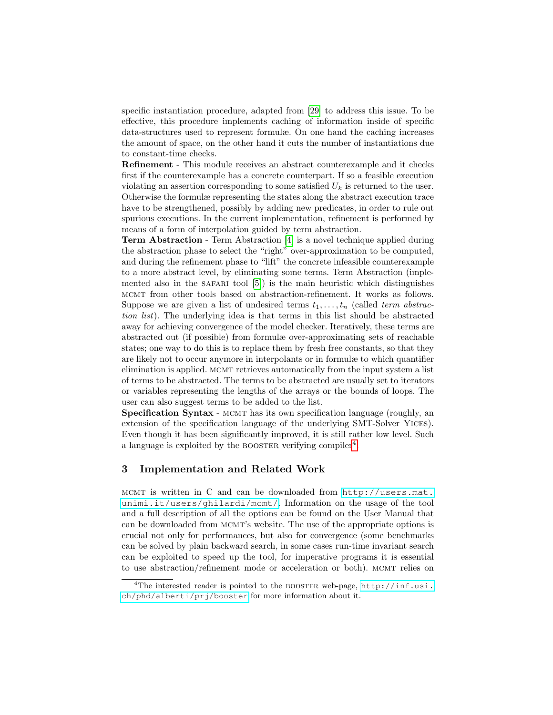specific instantiation procedure, adapted from [\[29\]](#page-4-14) to address this issue. To be effective, this procedure implements caching of information inside of specific data-structures used to represent formulæ. On one hand the caching increases the amount of space, on the other hand it cuts the number of instantiations due to constant-time checks.

Refinement - This module receives an abstract counterexample and it checks first if the counterexample has a concrete counterpart. If so a feasible execution violating an assertion corresponding to some satisfied  $U_k$  is returned to the user. Otherwise the formulæ representing the states along the abstract execution trace have to be strengthened, possibly by adding new predicates, in order to rule out spurious executions. In the current implementation, refinement is performed by means of a form of interpolation guided by term abstraction.

Term Abstraction - Term Abstraction [\[4\]](#page-3-2) is a novel technique applied during the abstraction phase to select the "right" over-approximation to be computed, and during the refinement phase to "lift" the concrete infeasible counterexample to a more abstract level, by eliminating some terms. Term Abstraction (implemented also in the SAFARI tool  $[5]$ ) is the main heuristic which distinguishes mcmt from other tools based on abstraction-refinement. It works as follows. Suppose we are given a list of undesired terms  $t_1, \ldots, t_n$  (called term abstraction list). The underlying idea is that terms in this list should be abstracted away for achieving convergence of the model checker. Iteratively, these terms are abstracted out (if possible) from formulæ over-approximating sets of reachable states; one way to do this is to replace them by fresh free constants, so that they are likely not to occur anymore in interpolants or in formulæ to which quantifier elimination is applied. MCMT retrieves automatically from the input system a list of terms to be abstracted. The terms to be abstracted are usually set to iterators or variables representing the lengths of the arrays or the bounds of loops. The user can also suggest terms to be added to the list.

Specification Syntax - MCMT has its own specification language (roughly, an extension of the specification language of the underlying SMT-Solver Yices). Even though it has been significantly improved, it is still rather low level. Such a language is exploited by the BOOSTER verifying compiler<sup>[4](#page-2-0)</sup>.

# 3 Implementation and Related Work

mcmt is written in C and can be downloaded from [http://users.mat.](http://users.mat.unimi.it/users/ghilardi/mcmt/) [unimi.it/users/ghilardi/mcmt/](http://users.mat.unimi.it/users/ghilardi/mcmt/). Information on the usage of the tool and a full description of all the options can be found on the User Manual that can be downloaded from mcmt's website. The use of the appropriate options is crucial not only for performances, but also for convergence (some benchmarks can be solved by plain backward search, in some cases run-time invariant search can be exploited to speed up the tool, for imperative programs it is essential to use abstraction/refinement mode or acceleration or both). MCMT relies on

<span id="page-2-0"></span><sup>&</sup>lt;sup>4</sup>The interested reader is pointed to the BOOSTER web-page, [http://inf.usi.](http://inf.usi.ch/phd/alberti/prj/booster) [ch/phd/alberti/prj/booster](http://inf.usi.ch/phd/alberti/prj/booster) for more information about it.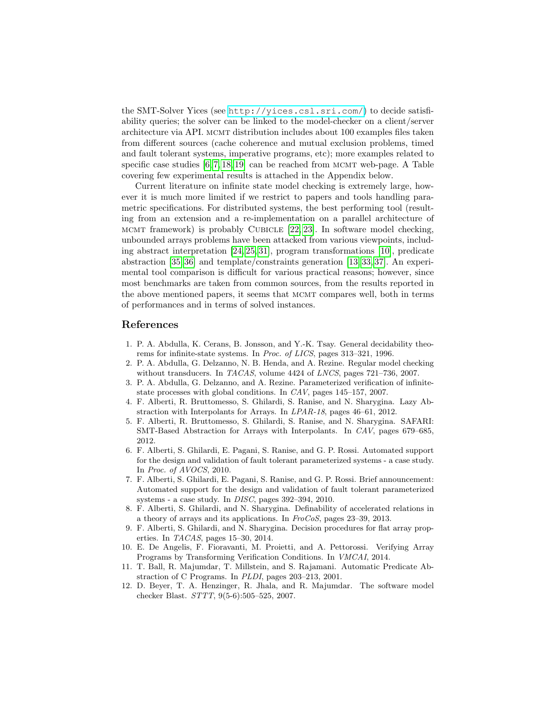the SMT-Solver Yices (see <http://yices.csl.sri.com/>) to decide satisfiability queries; the solver can be linked to the model-checker on a client/server architecture via API. mcmt distribution includes about 100 examples files taken from different sources (cache coherence and mutual exclusion problems, timed and fault tolerant systems, imperative programs, etc); more examples related to specific case studies  $[6, 7, 18, 19]$  $[6, 7, 18, 19]$  $[6, 7, 18, 19]$  $[6, 7, 18, 19]$  can be reached from MCMT web-page. A Table covering few experimental results is attached in the Appendix below.

Current literature on infinite state model checking is extremely large, however it is much more limited if we restrict to papers and tools handling parametric specifications. For distributed systems, the best performing tool (resulting from an extension and a re-implementation on a parallel architecture of MCMT framework) is probably CUBICLE  $[22, 23]$  $[22, 23]$ . In software model checking, unbounded arrays problems have been attacked from various viewpoints, including abstract interpretation [\[24,](#page-4-19) [25,](#page-4-20) [31\]](#page-4-21), program transformations [\[10\]](#page-3-10), predicate abstraction [\[35,](#page-4-3) [36\]](#page-4-4) and template/constraints generation [\[13,](#page-4-22) [33,](#page-4-23) [37\]](#page-4-24). An experimental tool comparison is difficult for various practical reasons; however, since most benchmarks are taken from common sources, from the results reported in the above mentioned papers, it seems that MCMT compares well, both in terms of performances and in terms of solved instances.

#### References

- <span id="page-3-5"></span>1. P. A. Abdulla, K. Cerans, B. Jonsson, and Y.-K. Tsay. General decidability theorems for infinite-state systems. In Proc. of LICS, pages 313–321, 1996.
- 2. P. A. Abdulla, G. Delzanno, N. B. Henda, and A. Rezine. Regular model checking without transducers. In TACAS, volume 4424 of LNCS, pages 721-736, 2007.
- <span id="page-3-6"></span>3. P. A. Abdulla, G. Delzanno, and A. Rezine. Parameterized verification of infinitestate processes with global conditions. In CAV, pages 145–157, 2007.
- <span id="page-3-2"></span>4. F. Alberti, R. Bruttomesso, S. Ghilardi, S. Ranise, and N. Sharygina. Lazy Abstraction with Interpolants for Arrays. In LPAR-18, pages 46–61, 2012.
- <span id="page-3-7"></span>5. F. Alberti, R. Bruttomesso, S. Ghilardi, S. Ranise, and N. Sharygina. SAFARI: SMT-Based Abstraction for Arrays with Interpolants. In CAV, pages 679–685, 2012.
- <span id="page-3-8"></span>6. F. Alberti, S. Ghilardi, E. Pagani, S. Ranise, and G. P. Rossi. Automated support for the design and validation of fault tolerant parameterized systems - a case study. In Proc. of AVOCS, 2010.
- <span id="page-3-9"></span>7. F. Alberti, S. Ghilardi, E. Pagani, S. Ranise, and G. P. Rossi. Brief announcement: Automated support for the design and validation of fault tolerant parameterized systems - a case study. In DISC, pages 392–394, 2010.
- <span id="page-3-3"></span>8. F. Alberti, S. Ghilardi, and N. Sharygina. Definability of accelerated relations in a theory of arrays and its applications. In FroCoS, pages 23–39, 2013.
- <span id="page-3-4"></span>9. F. Alberti, S. Ghilardi, and N. Sharygina. Decision procedures for flat array properties. In TACAS, pages 15–30, 2014.
- <span id="page-3-10"></span>10. E. De Angelis, F. Fioravanti, M. Proietti, and A. Pettorossi. Verifying Array Programs by Transforming Verification Conditions. In VMCAI, 2014.
- <span id="page-3-0"></span>11. T. Ball, R. Majumdar, T. Millstein, and S. Rajamani. Automatic Predicate Abstraction of C Programs. In PLDI, pages 203–213, 2001.
- <span id="page-3-1"></span>12. D. Beyer, T. A. Henzinger, R. Jhala, and R. Majumdar. The software model checker Blast. STTT, 9(5-6):505–525, 2007.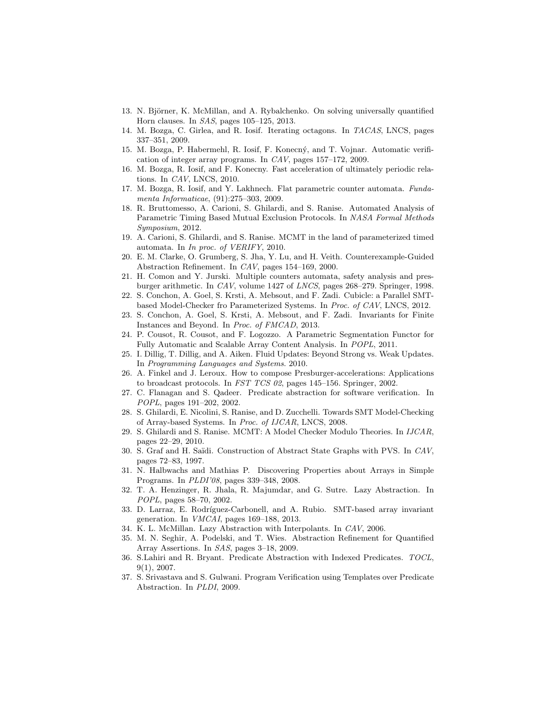- <span id="page-4-22"></span>13. N. Björner, K. McMillan, and A. Rybalchenko. On solving universally quantified Horn clauses. In SAS, pages 105–125, 2013.
- <span id="page-4-10"></span>14. M. Bozga, C. Girlea, and R. Iosif. Iterating octagons. In TACAS, LNCS, pages 337–351, 2009.
- <span id="page-4-13"></span>15. M. Bozga, P. Habermehl, R. Iosif, F. Konecn´y, and T. Vojnar. Automatic verification of integer array programs. In CAV, pages 157–172, 2009.
- <span id="page-4-12"></span>16. M. Bozga, R. Iosif, and F. Konecny. Fast acceleration of ultimately periodic relations. In CAV, LNCS, 2010.
- <span id="page-4-8"></span>17. M. Bozga, R. Iosif, and Y. Lakhnech. Flat parametric counter automata. Fundamenta Informaticae, (91):275–303, 2009.
- <span id="page-4-15"></span>18. R. Bruttomesso, A. Carioni, S. Ghilardi, and S. Ranise. Automated Analysis of Parametric Timing Based Mutual Exclusion Protocols. In NASA Formal Methods Symposium, 2012.
- <span id="page-4-16"></span>19. A. Carioni, S. Ghilardi, and S. Ranise. MCMT in the land of parameterized timed automata. In In proc. of VERIFY, 2010.
- <span id="page-4-0"></span>20. E. M. Clarke, O. Grumberg, S. Jha, Y. Lu, and H. Veith. Counterexample-Guided Abstraction Refinement. In CAV, pages 154–169, 2000.
- <span id="page-4-9"></span>21. H. Comon and Y. Jurski. Multiple counters automata, safety analysis and presburger arithmetic. In CAV, volume 1427 of LNCS, pages 268–279. Springer, 1998.
- <span id="page-4-17"></span>22. S. Conchon, A. Goel, S. Krsti, A. Mebsout, and F. Zadi. Cubicle: a Parallel SMTbased Model-Checker fro Parameterized Systems. In Proc. of CAV, LNCS, 2012.
- <span id="page-4-18"></span>23. S. Conchon, A. Goel, S. Krsti, A. Mebsout, and F. Zadi. Invariants for Finite Instances and Beyond. In Proc. of FMCAD, 2013.
- <span id="page-4-19"></span>24. P. Cousot, R. Cousot, and F. Logozzo. A Parametric Segmentation Functor for Fully Automatic and Scalable Array Content Analysis. In POPL, 2011.
- <span id="page-4-20"></span>25. I. Dillig, T. Dillig, and A. Aiken. Fluid Updates: Beyond Strong vs. Weak Updates. In Programming Languages and Systems. 2010.
- <span id="page-4-11"></span>26. A. Finkel and J. Leroux. How to compose Presburger-accelerations: Applications to broadcast protocols. In FST TCS 02, pages 145–156. Springer, 2002.
- <span id="page-4-1"></span>27. C. Flanagan and S. Qadeer. Predicate abstraction for software verification. In POPL, pages 191–202, 2002.
- <span id="page-4-7"></span>28. S. Ghilardi, E. Nicolini, S. Ranise, and D. Zucchelli. Towards SMT Model-Checking of Array-based Systems. In Proc. of IJCAR, LNCS, 2008.
- <span id="page-4-14"></span>29. S. Ghilardi and S. Ranise. MCMT: A Model Checker Modulo Theories. In IJCAR, pages 22–29, 2010.
- <span id="page-4-2"></span>30. S. Graf and H. Saïdi. Construction of Abstract State Graphs with PVS. In CAV, pages 72–83, 1997.
- <span id="page-4-21"></span>31. N. Halbwachs and Mathias P. Discovering Properties about Arrays in Simple Programs. In PLDI'08, pages 339–348, 2008.
- <span id="page-4-5"></span>32. T. A. Henzinger, R. Jhala, R. Majumdar, and G. Sutre. Lazy Abstraction. In POPL, pages 58–70, 2002.
- <span id="page-4-23"></span>33. D. Larraz, E. Rodríguez-Carbonell, and A. Rubio. SMT-based array invariant generation. In VMCAI, pages 169–188, 2013.
- <span id="page-4-6"></span>34. K. L. McMillan. Lazy Abstraction with Interpolants. In CAV, 2006.
- <span id="page-4-3"></span>35. M. N. Seghir, A. Podelski, and T. Wies. Abstraction Refinement for Quantified Array Assertions. In SAS, pages 3–18, 2009.
- <span id="page-4-4"></span>36. S.Lahiri and R. Bryant. Predicate Abstraction with Indexed Predicates. TOCL, 9(1), 2007.
- <span id="page-4-24"></span>37. S. Srivastava and S. Gulwani. Program Verification using Templates over Predicate Abstraction. In PLDI, 2009.